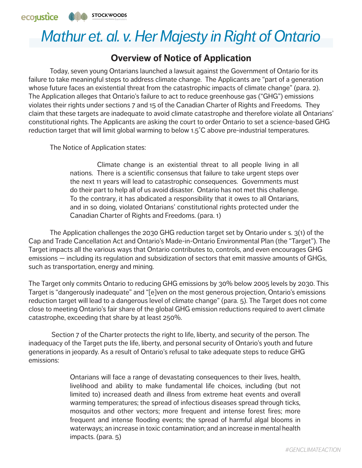

## *Mathur et. al. v. Her Majesty in Right of Ontario*

## **Overview of Notice of Application**

Today, seven young Ontarians launched a lawsuit against the Government of Ontario for its failure to take meaningful steps to address climate change. The Applicants are "part of a generation whose future faces an existential threat from the catastrophic impacts of climate change" (para. 2). The Application alleges that Ontario's failure to act to reduce greenhouse gas ("GHG") emissions violates their rights under sections 7 and 15 of the Canadian Charter of Rights and Freedoms. They claim that these targets are inadequate to avoid climate catastrophe and therefore violate all Ontarians' constitutional rights. The Applicants are asking the court to order Ontario to set a science-based GHG reduction target that will limit global warming to below 1.5˚C above pre-industrial temperatures.

The Notice of Application states:

Climate change is an existential threat to all people living in all nations. There is a scientific consensus that failure to take urgent steps over the next 11 years will lead to catastrophic consequences. Governments must do their part to help all of us avoid disaster. Ontario has not met this challenge. To the contrary, it has abdicated a responsibility that it owes to all Ontarians, and in so doing, violated Ontarians' constitutional rights protected under the Canadian Charter of Rights and Freedoms. (para. 1)

The Application challenges the 2030 GHG reduction target set by Ontario under s. 3(1) of the Cap and Trade Cancellation Act and Ontario's Made-in-Ontario Environmental Plan (the "Target"). The Target impacts all the various ways that Ontario contributes to, controls, and even encourages GHG emissions — including its regulation and subsidization of sectors that emit massive amounts of GHGs, such as transportation, energy and mining.

The Target only commits Ontario to reducing GHG emissions by 30% below 2005 levels by 2030. This Target is "dangerously inadequate" and "[e]ven on the most generous projection, Ontario's emissions reduction target will lead to a dangerous level of climate change" (para. 5). The Target does not come close to meeting Ontario's fair share of the global GHG emission reductions required to avert climate catastrophe, exceeding that share by at least 250%.

 Section 7 of the Charter protects the right to life, liberty, and security of the person. The inadequacy of the Target puts the life, liberty, and personal security of Ontario's youth and future generations in jeopardy. As a result of Ontario's refusal to take adequate steps to reduce GHG emissions:

> Ontarians will face a range of devastating consequences to their lives, health, livelihood and ability to make fundamental life choices, including (but not limited to) increased death and illness from extreme heat events and overall warming temperatures; the spread of infectious diseases spread through ticks, mosquitos and other vectors; more frequent and intense forest fires; more frequent and intense flooding events; the spread of harmful algal blooms in waterways; an increase in toxic contamination; and an increase in mental health impacts. (para. 5)